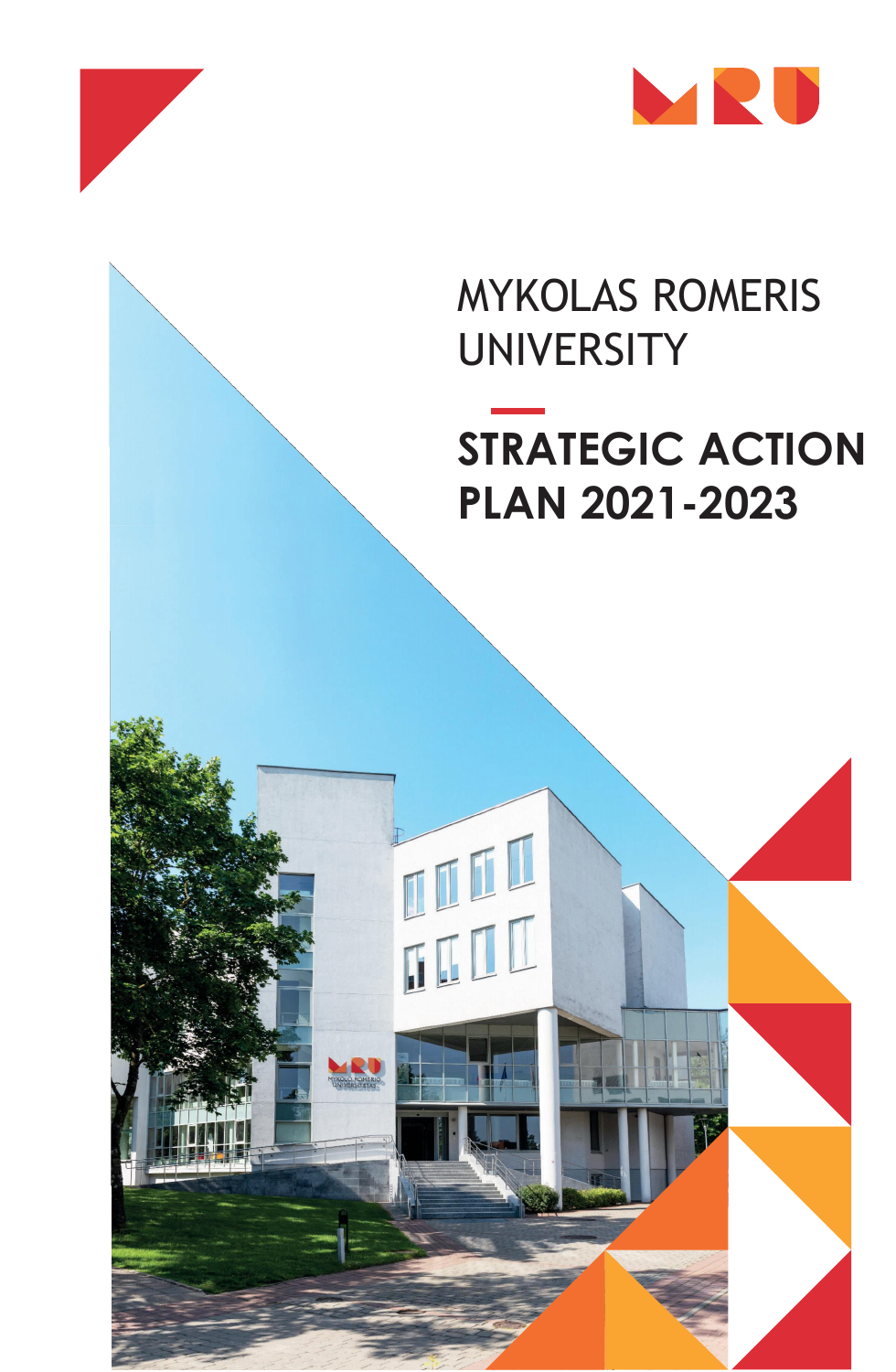

## MYKOLAS ROMERIS UNIVERSITY

# **STRATEGIC ACTION PLAN 2021-2023**



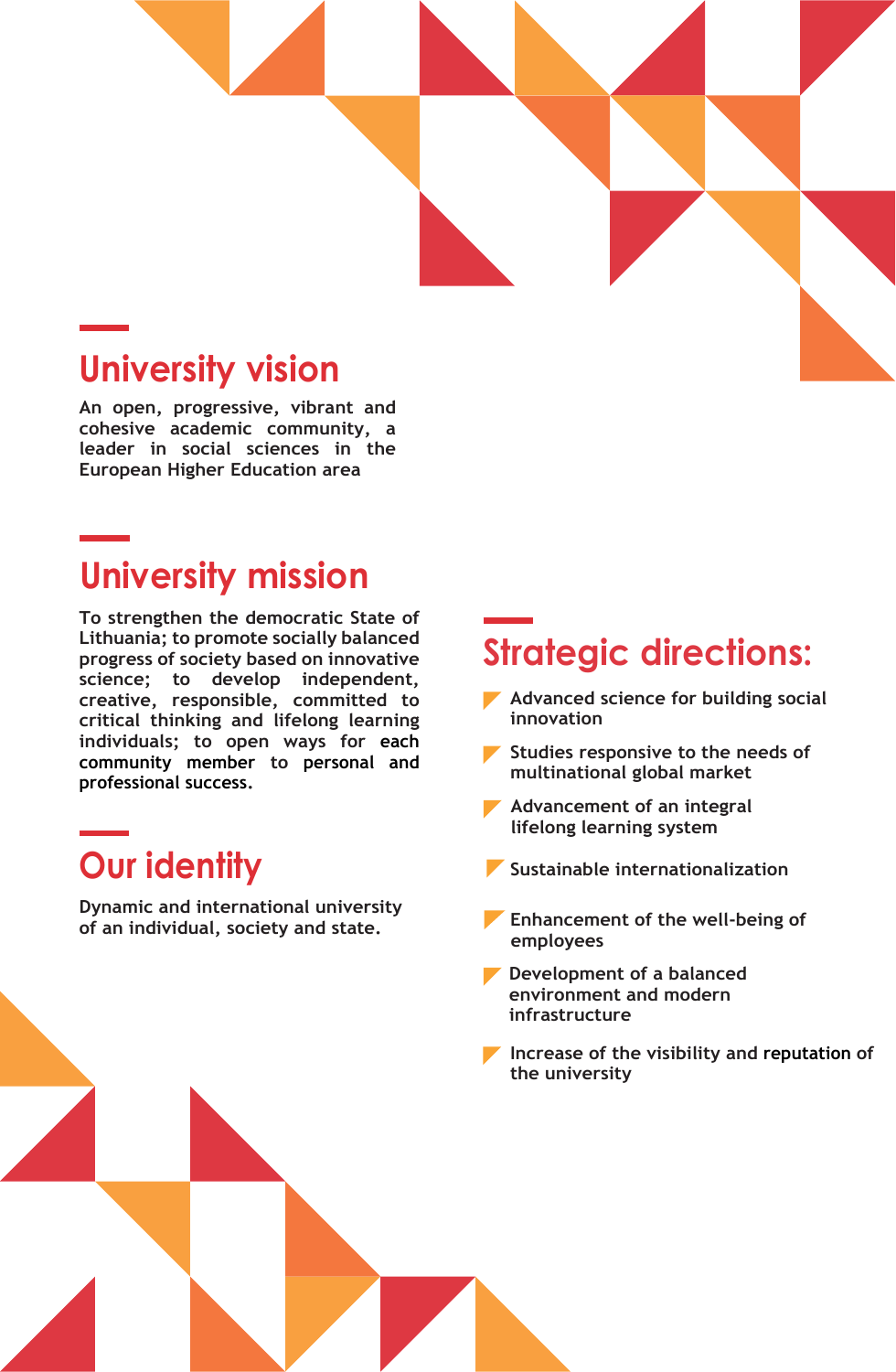

#### **University vision**

**An open, progressive, vibrant and cohesive academic community, a leader in social sciences in the European Higher Education area**

#### **University mission**

**To strengthen the democratic State of Lithuania; to promote socially balanced progress of society based on innovative science; to develop independent, creative, responsible, committed to critical thinking and lifelong learning individuals; to open ways for each community member to personal and professional success.**

### **Our identity**

**Dynamic and international university of an individual, society and state.**

### **Strategic directions:**

- **Advanced science for building social innovation**
- **Studies responsive to the needs of multinational global market**

- **Advancement of an integral lifelong learning system**
- **Sustainable internationalization**
- **Enhancement of the well-being of employees**
- **Development of a balanced environment and modern infrastructure**
- **Increase of the visibility and reputation of the university**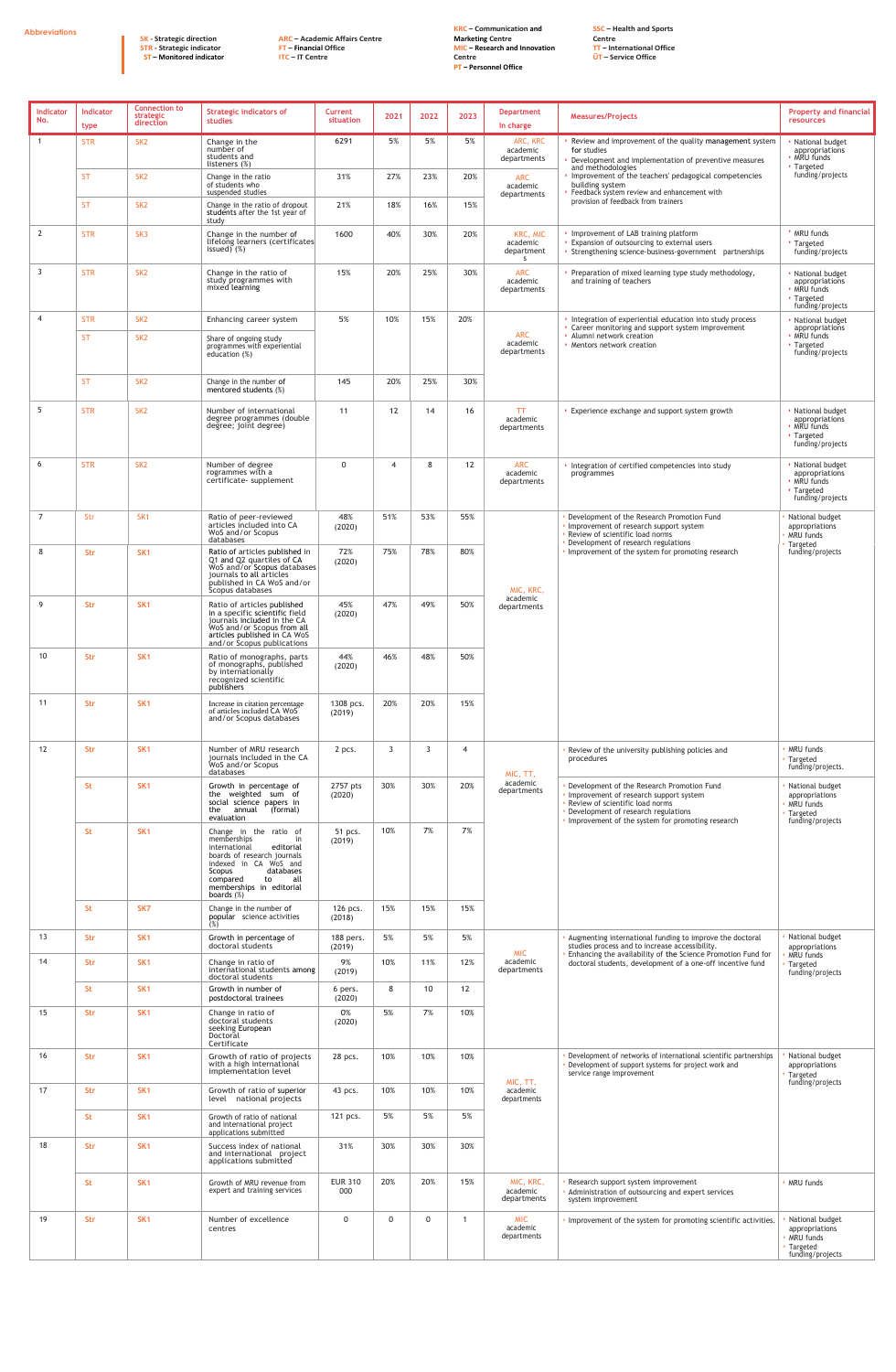**Abbreviations**

**SK - Strategic direction STR - Strategic indicator ST – Monitored indicator** **ARC – Academic Affairs Centre FT – Financial Office ITC – IT Centre**

**KRC – Communication and Marketing Centre MIC – Research and Innovation Centre PT – Personnel Office** 

**SSC – Health and Sports Centre TT – International Office ŪT – Service Office**

| Indicator<br>No. | <b>Indicator</b><br>type | <b>Connection to</b><br>strategic<br>direction | <b>Strategic indicators of</b><br>studies                                                                                                                                                                                | <b>Current</b><br>situation | 2021           | 2022            | 2023 | <b>Department</b><br>In charge           | <b>Measures/Projects</b>                                                                                                                                                                                                     | <b>Property and financial</b><br><b>resources</b>                                           |
|------------------|--------------------------|------------------------------------------------|--------------------------------------------------------------------------------------------------------------------------------------------------------------------------------------------------------------------------|-----------------------------|----------------|-----------------|------|------------------------------------------|------------------------------------------------------------------------------------------------------------------------------------------------------------------------------------------------------------------------------|---------------------------------------------------------------------------------------------|
|                  | <b>STR</b>               | SK <sub>2</sub>                                | Change in the<br>number of<br>students and<br>listeners (%)                                                                                                                                                              | 6291                        | 5%             | 5%              | 5%   | ARC, KRC<br>academic<br>departments      | Review and improvement of the quality management system<br>for studies<br>• Development and implementation of preventive measures<br>and methodologies                                                                       | National budget<br>appropriations<br>MRU funds<br>• Targeted                                |
|                  | <b>ST</b>                | SK <sub>2</sub>                                | Change in the ratio<br>of students who<br>suspended studies                                                                                                                                                              | 31%                         | 27%            | 23%             | 20%  | ARC<br>academic<br>departments           | Improvement of the teachers' pedagogical competencies<br>building system<br>Feedback system review and enhancement with                                                                                                      | funding/projects                                                                            |
|                  | <b>ST</b>                | SK <sub>2</sub>                                | Change in the ratio of dropout<br>students after the 1st year of<br>study                                                                                                                                                | 21%                         | 18%            | 16%             | 15%  |                                          | provision of feedback from trainers                                                                                                                                                                                          |                                                                                             |
| $\overline{2}$   | <b>STR</b>               | SK <sub>3</sub>                                | Change in the number of<br>lifelong learners (certificates<br>issued) $(\%)$                                                                                                                                             | 1600                        | 40%            | 30%             | 20%  | KRC, MIC<br>academic<br>department<br>S. | . Improvement of LAB training platform<br><b>Expansion of outsourcing to external users</b><br>• Strengthening science-business-government partnerships                                                                      | <b>· MRU funds</b><br>' Targeted<br>funding/projects                                        |
| $\overline{3}$   | <b>STR</b>               | SK <sub>2</sub>                                | Change in the ratio of<br>study programmes with<br>mixed learning                                                                                                                                                        | 15%                         | 20%            | 25%             | 30%  | ARC<br>academic<br>departments           | Preparation of mixed learning type study methodology,<br>and training of teachers                                                                                                                                            | · National budget<br>appropriations<br>• MRU funds<br>• Targeted<br>funding/projects        |
| $\overline{4}$   | <b>STR</b>               | SK <sub>2</sub>                                | Enhancing career system                                                                                                                                                                                                  | 5%                          | 10%            | 15%             | 20%  | ARC                                      | • Integration of experiential education into study process<br>• Career monitoring and support system improvement<br>· Alumni network creation                                                                                | · National budget<br>appropriations<br>• MRU funds                                          |
|                  | <b>ST</b>                | SK <sub>2</sub>                                | Share of ongoing study<br>programmes with experiential<br>education $(\%)$                                                                                                                                               |                             |                |                 |      | academic<br>departments                  | • Mentors network creation                                                                                                                                                                                                   | • Targeted<br>funding/projects                                                              |
|                  | <b>ST</b>                | SK <sub>2</sub>                                | Change in the number of<br>mentored students (%)                                                                                                                                                                         | 145                         | 20%            | 25%             | 30%  |                                          |                                                                                                                                                                                                                              |                                                                                             |
| -5               | <b>STR</b>               | SK <sub>2</sub>                                | Number of international<br>degree programmes (double<br>degree; joint degree)                                                                                                                                            | 11                          | 12             | 14              | 16   | TT.<br>academic<br>departments           | • Experience exchange and support system growth                                                                                                                                                                              | · National budget<br>appropriations<br>• MRU funds<br>• Targeted<br>funding/projects        |
| 6                | <b>STR</b>               | SK <sub>2</sub>                                | Number of degree<br>rogrammes with a<br>certificate- supplement                                                                                                                                                          | $\Omega$                    | $\overline{4}$ | 8               | 12   | <b>ARC</b><br>academic<br>departments    | . Integration of certified competencies into study<br>programmes                                                                                                                                                             | · National budget<br>appropriations<br>• MRU funds<br><b>· Targeted</b><br>funding/projects |
| $\overline{7}$   | Str                      | SK <sub>1</sub>                                | Ratio of peer-reviewed<br>articles included into CA<br>WoS and/or Scopus<br>databases                                                                                                                                    | 48%<br>(2020)               | 51%            | 53%             | 55%  |                                          | . Development of the Research Promotion Fund<br>· Improvement of research support system<br>. Review of scientific load norms                                                                                                | National budget<br>appropriations<br>MRU funds                                              |
| 8                | <b>Str</b>               | SK <sub>1</sub>                                | Ratio of articles published in<br>Q1 and Q2 quartiles of CA<br>WoS and/or Scopus databases<br>journals to all articles<br>published in CA WoS and/or<br>Scopus databases                                                 | 72%<br>(2020)               | 75%            | 78%             | 80%  | MIC, KRC,                                | • Development of research regulations<br>. Improvement of the system for promoting research                                                                                                                                  | Targeted<br>funding/projects                                                                |
| 9                | <b>Str</b>               | SK <sub>1</sub>                                | Ratio of articles published<br>in a specific scientific field<br>journals included in the CA<br>WoS and/or Scopus from all<br>articles published in CA WoS<br>and/or Scopus publications                                 | 45%<br>(2020)               | 47%            | 49%             | 50%  | academic<br>departments                  |                                                                                                                                                                                                                              |                                                                                             |
| 10               | <b>Str</b>               | SK <sub>1</sub>                                | Ratio of monographs, parts<br>of monographs, published<br>by internationally<br>récognized scientific<br>publishers                                                                                                      | 44%<br>(2020)               | 46%            | 48%             | 50%  |                                          |                                                                                                                                                                                                                              |                                                                                             |
| 11               | <b>Str</b>               | SK <sub>1</sub>                                | Increase in citation percentage<br>of articles included CA WoS<br>and/or Scopus databases                                                                                                                                | 1308 pcs.<br>(2019)         | 20%            | 20%             | 15%  |                                          |                                                                                                                                                                                                                              |                                                                                             |
| 12               | <b>Str</b>               | SK <sub>1</sub>                                | Number of MRU research<br>journals included in the CA<br>WoS and/or Scopus<br>databases                                                                                                                                  | 2 pcs.                      | $\overline{3}$ | 3               | 4    | MIC, TT,                                 | . Review of the university publishing policies and<br>procedures                                                                                                                                                             | <b>MRU</b> funds<br><b>Targeted</b><br>funding/projects.                                    |
|                  | <b>St</b>                | SK <sub>1</sub>                                | Growth in percentage of<br>the weighted sum of<br>social science papers in<br>the<br>annual (formal)<br>evaluation                                                                                                       | 2757 pts<br>(2020)          | 30%            | 30%             | 20%  | academic<br>departments                  | • Development of the Research Promotion Fund<br>· Improvement of research support system<br>. Review of scientific load norms<br>• Development of research regulations<br>. Improvement of the system for promoting research | National budget<br>appropriations<br>MRU funds<br>· Targeted<br>funding/projects            |
|                  | <b>St</b>                | SK <sub>1</sub>                                | Change in the ratio of<br>memberships<br>in<br>editorial<br>international<br>boards of research journals<br>indexed in CA WoS and<br>Scopus<br>databases<br>compared to all<br>memberships in editorial<br>boards $(\%)$ | 51 pcs.<br>(2019)           | 10%            | 7%              | 7%   |                                          |                                                                                                                                                                                                                              |                                                                                             |
|                  | <b>St</b>                | SK7                                            | Change in the number of<br>popular science activities<br>(%)                                                                                                                                                             | 126 pcs.<br>(2018)          | 15%            | 15%             | 15%  |                                          |                                                                                                                                                                                                                              |                                                                                             |
| 13               | <b>Str</b>               | SK <sub>1</sub>                                | Growth in percentage of<br>doctoral students                                                                                                                                                                             | 188 pers.<br>(2019)         | 5%             | 5%              | 5%   | <b>MIC</b>                               | . Augmenting international funding to improve the doctoral<br>studies process and to increase accessibility.<br>Enhancing the availability of the Science Promotion Fund for                                                 | National budget<br>appropriations<br>MRU funds<br>Targeted<br>funding/projects              |
| 14               | <b>Str</b>               | SK <sub>1</sub>                                | Change in ratio of<br>international students among<br>doctoral students                                                                                                                                                  | 9%<br>(2019)                | 10%            | 11%             | 12%  | academic<br>departments                  | doctoral students, development of a one-off incentive fund                                                                                                                                                                   |                                                                                             |
|                  | <b>St</b>                | SK <sub>1</sub>                                | Growth in number of<br>postdoctoral trainees                                                                                                                                                                             | 6 pers.<br>(2020)           | 8              | 10 <sup>°</sup> | 12   |                                          |                                                                                                                                                                                                                              |                                                                                             |
| 15               | <b>Str</b>               | SK <sub>1</sub>                                | Change in ratio of<br>doctoral students<br>seeking European<br>Doctoral<br>Certificate                                                                                                                                   | 0%<br>(2020)                | 5%             | 7%              | 10%  |                                          |                                                                                                                                                                                                                              |                                                                                             |
| 16               | <b>Str</b>               | SK <sub>1</sub>                                | Growth of ratio of projects<br>with a high international<br>implementation level                                                                                                                                         | 28 pcs.                     | 10%            | 10%             | 10%  | MIC, TT,                                 | • Development of networks of international scientific partnerships<br>• Development of support systems for project work and<br>service range improvement                                                                     | National budget<br>appropriations<br>Targeted<br>funding/projects                           |
| 17               | <b>Str</b>               | SK <sub>1</sub>                                | Growth of ratio of superior<br>level national projects                                                                                                                                                                   | 43 pcs.                     | 10%            | 10%             | 10%  | academic<br>departments                  |                                                                                                                                                                                                                              |                                                                                             |
|                  | <b>St</b>                | SK <sub>1</sub>                                | Growth of ratio of national<br>and international project<br>applications submitted                                                                                                                                       | 121 pcs.                    | 5%             | 5%              | 5%   |                                          |                                                                                                                                                                                                                              |                                                                                             |
| 18               | <b>Str</b>               | SK <sub>1</sub>                                | Success index of national<br>and international project<br>applications submitted                                                                                                                                         | 31%                         | 30%            | 30%             | 30%  |                                          |                                                                                                                                                                                                                              |                                                                                             |
|                  | <b>St</b>                | SK <sub>1</sub>                                | Growth of MRU revenue from<br>expert and training services                                                                                                                                                               | <b>EUR 310</b><br>000       | 20%            | 20%             | 15%  | MIC, KRC,<br>academic<br>departments     | Research support system improvement<br>· Administration of outsourcing and expert services<br>system improvement                                                                                                             | MRU funds                                                                                   |
| 19               | <b>Str</b>               | SK <sub>1</sub>                                | Number of excellence<br>centres                                                                                                                                                                                          | $\mathbf 0$                 | $\mathbf 0$    | $\mathbf{0}$    | -1   | <b>MIC</b><br>academic<br>departments    | . Improvement of the system for promoting scientific activities.                                                                                                                                                             | National budget<br>appropriations<br>MRU funds<br><b>· Targeted</b><br>funding/projects     |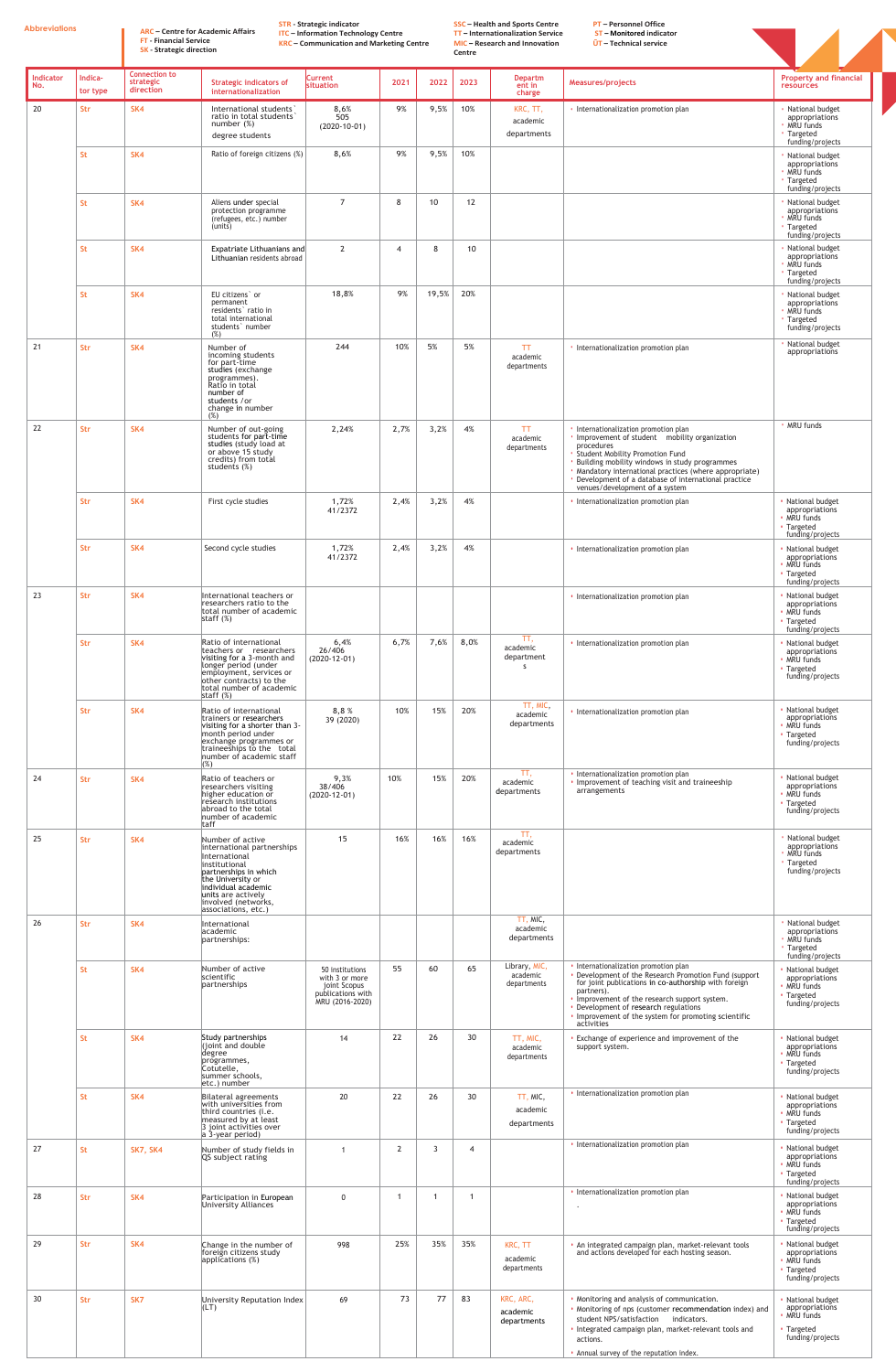**Abbreviations ARC – Centre for Academic Affairs**

**FT - Financial Service SK - Strategic direction** **STR - Strategic indicator**

**ITC – Information Technology Centre**

**KRC – Communication and Marketing Centre**

**SSC – Health and Sports Centre TT – Internationalization Service MIC – Research and Innovation Centre**

**PT – Personnel Office ST – Monitored indicator**

**ŪT – Technical service**



| Indicator<br>No. | Indica-<br>tor type | <b>Connection to</b><br>strategic<br>direction | <b>Strategic indicators of</b><br>internationalization                                                                                                                                                                    | <b>Current</b><br>situation                                                               | 2021           | 2022  | 2023           | <b>Departm</b><br>ent in<br>charge            | Measures/projects                                                                                                                                                                                                                                                                                                                  | <b>Property and financial</b><br><b>resources</b>                                                               |
|------------------|---------------------|------------------------------------------------|---------------------------------------------------------------------------------------------------------------------------------------------------------------------------------------------------------------------------|-------------------------------------------------------------------------------------------|----------------|-------|----------------|-----------------------------------------------|------------------------------------------------------------------------------------------------------------------------------------------------------------------------------------------------------------------------------------------------------------------------------------------------------------------------------------|-----------------------------------------------------------------------------------------------------------------|
| 20               | Str                 | SK4                                            | International students<br>ratio in total students<br>number $(\%)$<br>degree students                                                                                                                                     | 8,6%<br>505<br>$(2020-10-01)$                                                             | 9%             | 9,5%  | 10%            | KRC, TT,<br>academic<br>departments           | · Internationalization promotion plan                                                                                                                                                                                                                                                                                              | · National budget<br>appropriations<br>MRU funds<br>Targeted                                                    |
|                  | <b>St</b>           | SK4                                            | Ratio of foreign citizens (%)                                                                                                                                                                                             | 8,6%                                                                                      | 9%             | 9,5%  | 10%            |                                               |                                                                                                                                                                                                                                                                                                                                    | funding/projects<br>National budget<br>appropriations<br>· MRU funds<br><b>' Targeted</b><br>funding/projects   |
|                  | <b>St</b>           | SK4                                            | Aliens under special<br>protection programme<br>(refugees, etc.) number<br>(units)                                                                                                                                        | $\overline{7}$                                                                            | 8              | 10    | 12             |                                               |                                                                                                                                                                                                                                                                                                                                    | · National budget<br>appropriations<br>• MRU funds<br>· Targeted<br>funding/projects                            |
|                  | <b>St</b>           | SK4                                            | Expatriate Lithuanians and<br>Lithuanian residents abroad                                                                                                                                                                 | $\overline{2}$                                                                            | $\overline{4}$ | 8     | 10             |                                               |                                                                                                                                                                                                                                                                                                                                    | National budget<br>appropriations<br>MRU funds<br><b>' Targeted</b>                                             |
|                  | <b>St</b>           | SK4                                            | EU citizens' or<br>permanent<br>residents' ratio in<br>total international<br>students' number<br>(%)                                                                                                                     | 18,8%                                                                                     | 9%             | 19,5% | 20%            |                                               |                                                                                                                                                                                                                                                                                                                                    | funding/projects<br>· National budget<br>appropriations<br>· MRU funds<br><b>· Targeted</b><br>funding/projects |
| 21               | Str                 | SK4                                            | Number of<br>incoming students<br>for part-time<br>studies (exchange<br>programmes).<br>Ratio in total<br>number of<br>students /or<br>change in number<br>(%)                                                            | 244                                                                                       | 10%            | 5%    | 5%             | TT <sub>1</sub><br>academic<br>departments    | · Internationalization promotion plan                                                                                                                                                                                                                                                                                              | National budget<br>appropriations                                                                               |
| 22               | <b>Str</b>          | SK4                                            | Number of out-going<br>students for part-time<br>studies (study load at<br>or above 15 study<br>credits) from total<br>students (%)                                                                                       | 2,24%                                                                                     | 2,7%           | 3,2%  | 4%             | <b>TT</b><br>academic<br>departments          | Internationalization promotion plan<br>Improvement of student mobility organization<br>procedures<br>· Student Mobility Promotion Fund<br>Building mobility windows in study programmes<br>· Mandatory international practices (where appropriate)<br>Development of a database of international practice                          | · MRU funds                                                                                                     |
|                  | <b>Str</b>          | SK4                                            | First cycle studies                                                                                                                                                                                                       | 1,72%<br>41/2372                                                                          | 2,4%           | 3,2%  | 4%             |                                               | venues/development of a system<br>• Internationalization promotion plan                                                                                                                                                                                                                                                            | · National budget<br>appropriations<br>· MRU funds<br>• Targeted<br>funding/projects                            |
|                  | <b>Str</b>          | SK4                                            | Second cycle studies                                                                                                                                                                                                      | 1,72%<br>41/2372                                                                          | 2,4%           | 3,2%  | 4%             |                                               | • Internationalization promotion plan                                                                                                                                                                                                                                                                                              | · National budget<br>appropriations<br>· MRU funds<br>• Targeted<br>funding/projects                            |
| 23               | <b>Str</b>          | SK4                                            | International teachers or<br>researchers ratio to the<br>total number of academic<br>staff $(\%)$                                                                                                                         |                                                                                           |                |       |                |                                               | • Internationalization promotion plan                                                                                                                                                                                                                                                                                              | · National budget<br>appropriations<br>· MRU funds<br>• Targeted<br>funding/projects                            |
|                  | <b>Str</b>          | SK4                                            | Ratio of international<br>teachers or researchers<br>visiting for a 3-month and<br>longer period (under<br>employment, services or<br>other contracts) to the<br>total number of academic<br>staff $(\%)$                 | 6,4%<br>26/406<br>$(2020-12-01)$                                                          | 6,7%           | 7,6%  | 8,0%           | TT,<br>academic<br>department<br><sub>S</sub> | • Internationalization promotion plan                                                                                                                                                                                                                                                                                              | · National budget<br>appropriations<br>· MRU funds<br>• Targeted<br>funding/projects                            |
|                  | <b>Str</b>          | SK4                                            | Ratio of international<br>trainers or researchers<br>visiting for a shorter than 3-<br>month period under<br>exchange programmes or<br>traineeships to the total<br>number of academic staff                              | 8,8%<br>39 (2020)                                                                         | 10%            | 15%   | 20%            | TT, MIC,<br>academic<br>departments           | • Internationalization promotion plan                                                                                                                                                                                                                                                                                              | · National budget<br>appropriations<br>· MRU funds<br>• Targeted<br>funding/projects                            |
| 24               | <b>Str</b>          | SK4                                            | (%)<br>Ratio of teachers or<br>researchers visiting<br>higher education or<br>research institutions<br>abroad to the total<br>number of academic<br><b>taff</b>                                                           | 9,3%<br>38/406<br>$(2020-12-01)$                                                          | 10%            | 15%   | 20%            | TT,<br>academic<br>departments                | • Internationalization promotion plan<br>. Improvement of teaching visit and traineeship<br>arrangements                                                                                                                                                                                                                           | • National budget<br>appropriations<br>· MRU funds<br>• Targeted<br>funding/projects                            |
| 25               | <b>Str</b>          | SK4                                            | Number of active<br>international partnerships<br>International<br>institutional<br>partnerships in which<br>the University or<br>individual academic<br>units are actively<br>involved (networks,<br>associations, etc.) | 15                                                                                        | 16%            | 16%   | 16%            | TT.<br>academic<br>departments                |                                                                                                                                                                                                                                                                                                                                    | National budget<br>appropriations<br>MRU funds<br><b>' Targeted</b><br>funding/projects                         |
| 26               | <b>Str</b>          | SK4                                            | International<br>academic<br>partnerships:                                                                                                                                                                                |                                                                                           |                |       |                | TT, MIC,<br>academic<br>departments           |                                                                                                                                                                                                                                                                                                                                    | · National budget<br>appropriations<br>MRU funds<br><b>' Targeted</b><br>funding/projects                       |
|                  | <b>St</b>           | SK4                                            | Number of active<br>scientific<br>partnerships                                                                                                                                                                            | 50 institutions<br>with 3 or more<br>joint Scopus<br>publications with<br>MRU (2016-2020) | 55             | 60    | 65             | Library, MIC,<br>academic<br>departments      | · Internationalization promotion plan<br>• Development of the Research Promotion Fund (support<br>for joint publications in co-authorship with foreign<br>partners).<br>Improvement of the research support system.<br>• Development of research regulations<br>. Improvement of the system for promoting scientific<br>activities | · National budget<br>appropriations<br>· MRU funds<br>• Targeted<br>funding/projects                            |
|                  | <b>St</b>           | SK4                                            | Study partnerships<br>(joint and double<br>degree<br>programmes,<br>Cotutelle,<br>summer schools,<br>etc.) number                                                                                                         | 14                                                                                        | 22             | 26    | 30             | TT, MIC,<br>academic<br>departments           | Exchange of experience and improvement of the<br>support system.                                                                                                                                                                                                                                                                   | · National budget<br>appropriations<br>• MRU funds<br>• Targeted<br>funding/projects                            |
|                  | <b>St</b>           | SK4                                            | Bilateral agreements<br>with universities from<br>third countries (i.e.<br>measured by at least<br>3 joint activities over<br>$a$ 3-year period)                                                                          | 20                                                                                        | 22             | 26    | 30             | TT, MIC,<br>academic<br>departments           | • Internationalization promotion plan                                                                                                                                                                                                                                                                                              | · National budget<br>appropriations<br>• MRU funds<br><b>· Targeted</b><br>funding/projects                     |
| 27               | <b>St</b>           | <b>SK7, SK4</b>                                | Number of study fields in<br>QS subject rating                                                                                                                                                                            | -1                                                                                        | $\overline{2}$ | 3     | $\overline{4}$ |                                               | • Internationalization promotion plan                                                                                                                                                                                                                                                                                              | · National budget<br>appropriations<br>· MRU funds<br>• Targeted<br>funding/projects                            |
| 28               | <b>Str</b>          | SK4                                            | Participation in European<br>University Alliances                                                                                                                                                                         | $\mathbf{0}$                                                                              | -1             |       |                |                                               | • Internationalization promotion plan                                                                                                                                                                                                                                                                                              | · National budget<br>appropriations<br>· MRU funds<br>• Targeted<br>funding/projects                            |
| 29               | <b>Str</b>          | SK4                                            | Change in the number of<br>foreign citizens study<br>applications (%)                                                                                                                                                     | 998                                                                                       | 25%            | 35%   | 35%            | KRC, TT<br>academic<br>departments            | · An integrated campaign plan, market-relevant tools<br>and actions developed for each hosting season.                                                                                                                                                                                                                             | · National budget<br>appropriations<br>• MRU funds<br>• Targeted<br>funding/projects                            |
| 30               | Str                 | SK7                                            | University Reputation Index<br> L(T)                                                                                                                                                                                      | 69                                                                                        | 73             | 77    | 83             | KRC, ARC,<br>academic<br>departments          | . Monitoring and analysis of communication.<br>. Monitoring of nps (customer recommendation index) and<br>student NPS/satisfaction indicators.<br>. Integrated campaign plan, market-relevant tools and<br>actions.<br>. Annual survey of the reputation index.                                                                    | · National budget<br>appropriations<br>• MRU funds<br>• Targeted<br>funding/projects                            |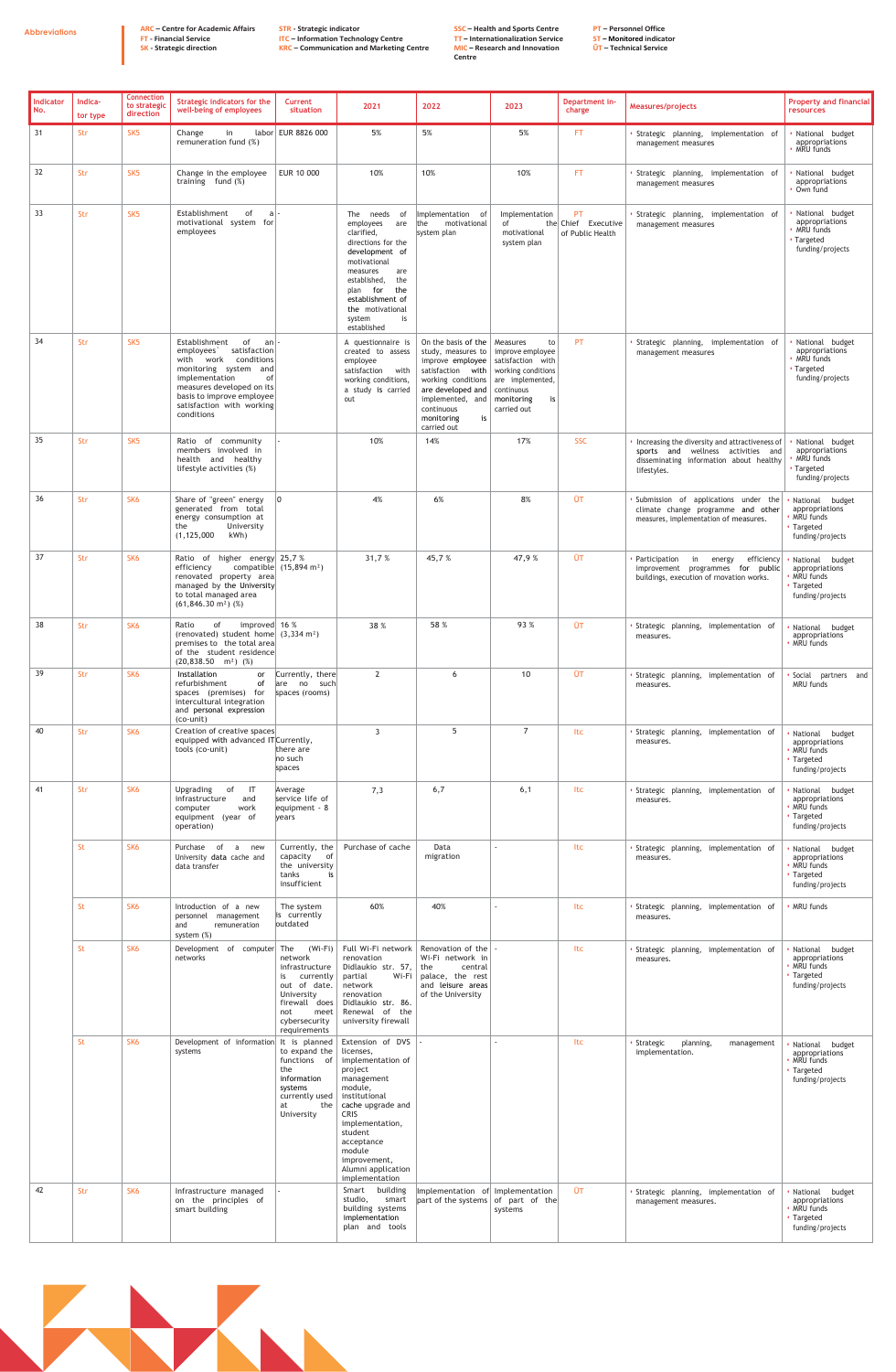**Abbreviations ARC – Centre for Academic Affairs FT - Financial Service SK - Strategic direction**

**STR - Strategic indicator ITC – Information Technology Centre KRC – Communication and Marketing Centre** **SSC – Health and Sports Centre TT – Internationalization Service MIC – Research and Innovation Centre**

**PT – Personnel Office** 

**ST – Monitored indicator ŪT – Technical Service**

| Indicator<br>l No. | Indica-<br>tor type | <b>Connection</b><br>to strategic<br>direction | Strategic indicators for the<br>well-being of employees                                                                                                                                                                                      | <b>Current</b><br>situation                                                                                                                                     | 2021                                                                                                                                                                                                                                                                                                                | 2022                                                                                                                                                                                                                                         | 2023                                                                                                     | Department in-<br>charge                      | Measures/projects                                                                                                                                | <b>Property and financial</b><br><b>resources</b>                                                                     |
|--------------------|---------------------|------------------------------------------------|----------------------------------------------------------------------------------------------------------------------------------------------------------------------------------------------------------------------------------------------|-----------------------------------------------------------------------------------------------------------------------------------------------------------------|---------------------------------------------------------------------------------------------------------------------------------------------------------------------------------------------------------------------------------------------------------------------------------------------------------------------|----------------------------------------------------------------------------------------------------------------------------------------------------------------------------------------------------------------------------------------------|----------------------------------------------------------------------------------------------------------|-----------------------------------------------|--------------------------------------------------------------------------------------------------------------------------------------------------|-----------------------------------------------------------------------------------------------------------------------|
| 31                 | Str                 | SK <sub>5</sub>                                | Change<br>in<br>remuneration fund (%)                                                                                                                                                                                                        | labor EUR 8826 000                                                                                                                                              | 5%                                                                                                                                                                                                                                                                                                                  | 5%                                                                                                                                                                                                                                           | 5%                                                                                                       | FT.                                           | Strategic planning, implementation of<br>management measures                                                                                     | National budget<br>appropriations<br>MRU funds                                                                        |
| 32                 | Str                 | SK <sub>5</sub>                                | Change in the employee<br>training fund $(\%)$                                                                                                                                                                                               | EUR 10 000                                                                                                                                                      | 10%                                                                                                                                                                                                                                                                                                                 | 10%                                                                                                                                                                                                                                          | 10%                                                                                                      | <b>FT</b>                                     | Strategic planning, implementation of<br>management measures                                                                                     | National budget<br>appropriations<br>Own fund                                                                         |
| 33                 | Str                 | SK <sub>5</sub>                                | Establishment<br>of<br>$a$  -<br>motivational system for<br>employees                                                                                                                                                                        |                                                                                                                                                                 | The needs<br>of<br>employees are<br>clarified,<br>directions for the<br>development of<br>motivational<br>measures<br>are<br>established,<br>the<br>plan for<br>the<br>establishment of<br>the motivational<br>is<br>system<br>established                                                                          | Implementation of<br>motivational<br>the<br>system plan                                                                                                                                                                                      | Implementation<br>of<br>motivational<br>system plan                                                      | PT<br>the Chief Executive<br>of Public Health | Strategic planning, implementation of<br>management measures                                                                                     | National budget<br>appropriations<br>MRU funds<br>Targeted<br>funding/projects                                        |
| 34                 | Str                 | SK <sub>5</sub>                                | Establishment<br>0f<br>an∣∙<br>satisfaction<br>employees<br>conditions<br>with work<br>monitoring system<br>and<br>implementation<br>0f<br>measures developed on its<br>basis to improve employee<br>satisfaction with working<br>conditions |                                                                                                                                                                 | A questionnaire is<br>created to assess<br>employee<br>satisfaction with<br>working conditions,<br>a study is carried<br>out                                                                                                                                                                                        | On the basis of the<br>study, measures to<br>improve employee<br>satisfaction with   working conditions<br>working conditions $ $ are implemented,<br>are developed and<br>implemented, and<br>continuous<br>monitoring<br>is<br>carried out | Measures<br>to<br>improve employee<br>satisfaction with<br>continuous<br>monitoring<br>is<br>carried out | PT                                            | · Strategic planning, implementation of<br>management measures                                                                                   | National budget<br>appropriations<br>MRU funds<br><b>Targeted</b><br>funding/projects                                 |
| 35                 | <b>Str</b>          | SK <sub>5</sub>                                | Ratio of community<br>members involved in<br>health and healthy<br>lifestyle activities (%)                                                                                                                                                  |                                                                                                                                                                 | 10%                                                                                                                                                                                                                                                                                                                 | 14%                                                                                                                                                                                                                                          | 17%                                                                                                      | <b>SSC</b>                                    | • Increasing the diversity and attractiveness of<br>sports and wellness activities and<br>disseminating information about healthy<br>lifestyles. | National budget<br>appropriations<br>MRU funds<br>Targeted<br>funding/projects                                        |
| 36                 | Str                 | SK <sub>6</sub>                                | Share of "green" energy<br>generated from total<br>energy consumption at<br>the<br>University<br>kWh)<br>(1, 125, 000)                                                                                                                       |                                                                                                                                                                 | 4%                                                                                                                                                                                                                                                                                                                  | 6%                                                                                                                                                                                                                                           | 8%                                                                                                       | ŪT                                            | Submission of applications under the<br>climate change programme and other<br>measures, implementation of measures.                              | budget<br>National<br>appropriations<br>MRU funds<br>• Targeted<br>funding/projects                                   |
| 37                 | Str                 | SK <sub>6</sub>                                | higher energy $25,7%$<br>Ratio of<br>efficiency<br>renovated property area<br>managed by the University<br>to total managed area<br>$(61, 846.30 \text{ m}^2)$ (%)                                                                           | compatible $(15,894 \text{ m}^2)$                                                                                                                               | 31,7%                                                                                                                                                                                                                                                                                                               | 45,7%                                                                                                                                                                                                                                        | 47,9%                                                                                                    | ŪT                                            | Participation<br>in<br>efficiency<br>energy<br>improvement programmes for public<br>buildings, execution of rnovation works.                     | National budget<br>appropriations<br>MRU funds<br>Targeted<br>funding/projects                                        |
| 38                 | Str                 | SK <sub>6</sub>                                | improved $16%$<br>Ratio<br>of<br>(renovated) student home $(3,334 \text{ m}^2)$<br>premises to the total area<br>of the student residence<br>$(20,838.50 \text{ m}^2)$ (%)                                                                   |                                                                                                                                                                 | 38 %                                                                                                                                                                                                                                                                                                                | 58 %                                                                                                                                                                                                                                         | 93 %                                                                                                     | <b>OT</b>                                     | Strategic planning, implementation of<br>measures.                                                                                               | National budget<br>appropriations<br>· MRU funds                                                                      |
| 39                 | Str                 | SK <sub>6</sub>                                | Installation<br>or<br>refurbishment<br>of<br>spaces (premises) for<br>intercultural integration<br>and personal expression<br>(co-unit)                                                                                                      | Currently, there<br>are no such<br>spaces (rooms)                                                                                                               | $\overline{2}$                                                                                                                                                                                                                                                                                                      | 6                                                                                                                                                                                                                                            | 10                                                                                                       | ŪT                                            | Strategic planning, implementation of<br>measures.                                                                                               | Social partners and<br>MRU funds                                                                                      |
| 40                 | Str                 | SK <sub>6</sub>                                | Creation of creative spaces<br>equipped with advanced IT Currently,<br>tools (co-unit)                                                                                                                                                       | there are<br>no such<br>spaces                                                                                                                                  | $\overline{3}$                                                                                                                                                                                                                                                                                                      | 5                                                                                                                                                                                                                                            | $\overline{7}$                                                                                           | Itc                                           | Strategic planning, implementation of<br>measures.                                                                                               | National<br>budget<br>appropriations<br>· MRU funds<br>· Targeted<br>funding/projects                                 |
| 41                 | Str                 | SK <sub>6</sub>                                | Upgrading<br>of<br>$\overline{\mathsf{I}}$<br>infrastructure<br>and<br>work<br>computer<br>equipment (year of<br>operation)                                                                                                                  | Average<br>service life of<br>equipment - 8<br>vears                                                                                                            | 7,3                                                                                                                                                                                                                                                                                                                 | 6,7                                                                                                                                                                                                                                          | 6,1                                                                                                      | ltc                                           | Strategic planning, implementation of<br>measures.                                                                                               | National budget<br>appropriations<br>MRU funds<br>Targeted<br>funding/projects                                        |
|                    | St                  | SK <sub>6</sub>                                | of<br>Purchase<br>a<br>new<br>University data cache and<br>data transfer                                                                                                                                                                     | Currently, the<br>capacity of<br>the university<br>tanks<br>is l<br>insufficient                                                                                | Purchase of cache                                                                                                                                                                                                                                                                                                   | Data<br>migration                                                                                                                                                                                                                            | $\blacksquare$                                                                                           | ltc                                           | Strategic planning, implementation of<br>measures.                                                                                               | National budget<br>appropriations<br>MRU funds<br>· Targeted<br>funding/projects                                      |
|                    | St                  | SK <sub>6</sub>                                | Introduction of a new<br>personnel<br>management<br>remuneration<br>and<br>system (%)                                                                                                                                                        | The system<br>is currently<br>outdated                                                                                                                          | 60%                                                                                                                                                                                                                                                                                                                 | 40%                                                                                                                                                                                                                                          |                                                                                                          | ltc                                           | Strategic planning, implementation of<br>measures.                                                                                               | MRU funds                                                                                                             |
|                    | St                  | SK <sub>6</sub>                                | Development of computer<br>networks                                                                                                                                                                                                          | $(Wi-Fi)$<br>The<br>network<br>infrastructure<br>currently<br>is<br>out of date.<br>University<br>firewall does<br>meet<br>not<br>cybersecurity<br>requirements | Full Wi-Fi network<br>renovation<br>Didlaukio str. 57,<br>partial<br>Wi-Fi<br>network<br>renovation<br>Didlaukio str. 86.<br>Renewal of the<br>university firewall                                                                                                                                                  | Renovation of the $\vert$ -<br>Wi-Fi network in<br>the<br>central<br>palace, the rest<br>and leisure areas<br>of the University                                                                                                              |                                                                                                          | ltc                                           | Strategic planning, implementation of<br>measures.                                                                                               | National budget<br>appropriations<br>· MRU funds<br><b>Targeted</b><br>funding/projects                               |
| 42                 | St<br>Str           | SK <sub>6</sub><br>SK <sub>6</sub>             | Development of information<br>systems<br>Infrastructure managed<br>on the principles of<br>smart building                                                                                                                                    | It is planned<br>to expand the<br>functions of<br>the<br>information<br>systems<br>currently used<br>the<br>at<br>University                                    | Extension of DVS<br>licenses,<br>implementation of<br>project<br>management<br>module,<br>institutional<br>cache upgrade and<br><b>CRIS</b><br>implementation,<br>student<br>acceptance<br>module<br>improvement,<br>Alumni application<br>implementation<br>Smart building<br>studio,<br>smart<br>building systems | Implementation of<br>part of the systems of part of the                                                                                                                                                                                      | Implementation<br>systems                                                                                | ltc<br><b>ŪT</b>                              | Strategic<br>planning,<br>management<br>implementation.<br>Strategic planning, implementation of<br>management measures.                         | National budget<br>appropriations<br>MRU funds<br>• Targeted<br>funding/projects<br>National budget<br>appropriations |
|                    |                     |                                                |                                                                                                                                                                                                                                              |                                                                                                                                                                 | implementation<br>plan and tools                                                                                                                                                                                                                                                                                    |                                                                                                                                                                                                                                              |                                                                                                          |                                               |                                                                                                                                                  | • Targeted<br>funding/projects                                                                                        |